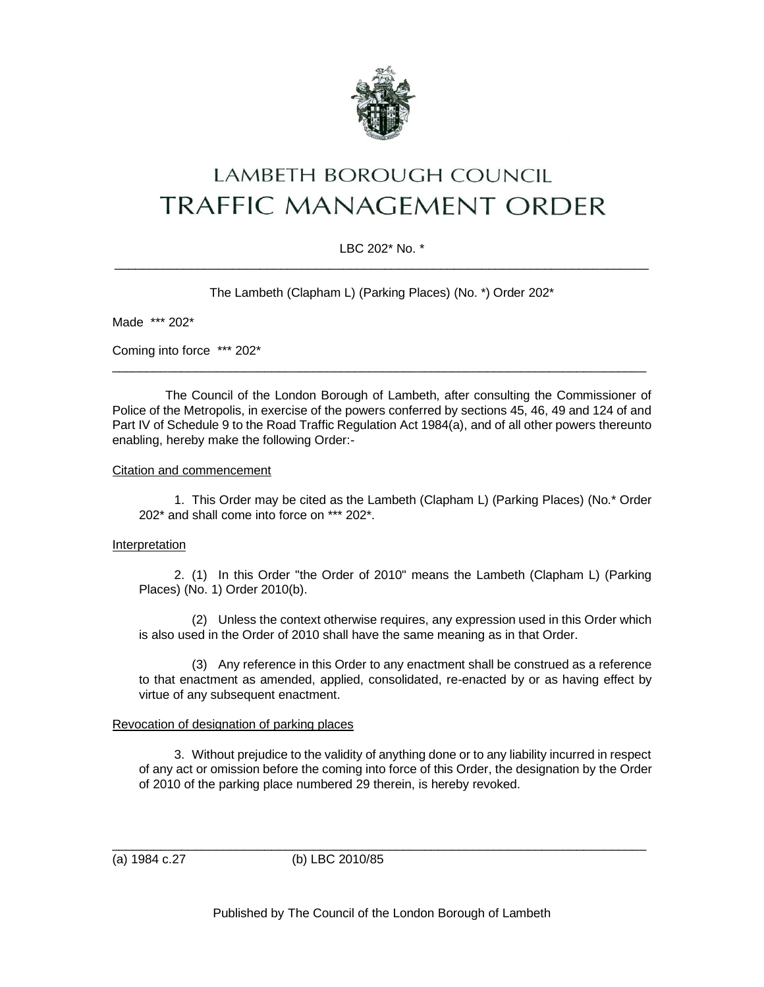

# LAMBETH BOROUGH COUNCIL **TRAFFIC MANAGEMENT ORDER**

# LBC 202\* No. \*  $\_$  ,  $\_$  ,  $\_$  ,  $\_$  ,  $\_$  ,  $\_$  ,  $\_$  ,  $\_$  ,  $\_$  ,  $\_$  ,  $\_$  ,  $\_$  ,  $\_$  ,  $\_$  ,  $\_$  ,  $\_$  ,  $\_$  ,  $\_$  ,  $\_$  ,  $\_$

The Lambeth (Clapham L) (Parking Places) (No. \*) Order 202\*

Made \*\*\* 202\*

Coming into force \*\*\* 202\*

The Council of the London Borough of Lambeth, after consulting the Commissioner of Police of the Metropolis, in exercise of the powers conferred by sections 45, 46, 49 and 124 of and Part IV of Schedule 9 to the Road Traffic Regulation Act 1984(a), and of all other powers thereunto enabling, hereby make the following Order:-

\_\_\_\_\_\_\_\_\_\_\_\_\_\_\_\_\_\_\_\_\_\_\_\_\_\_\_\_\_\_\_\_\_\_\_\_\_\_\_\_\_\_\_\_\_\_\_\_\_\_\_\_\_\_\_\_\_\_\_\_\_\_\_\_\_\_\_\_\_\_\_\_\_\_\_\_\_

#### Citation and commencement

1. This Order may be cited as the Lambeth (Clapham L) (Parking Places) (No.\* Order 202\* and shall come into force on \*\*\* 202\*.

## Interpretation

2. (1) In this Order "the Order of 2010" means the Lambeth (Clapham L) (Parking Places) (No. 1) Order 2010(b).

(2) Unless the context otherwise requires, any expression used in this Order which is also used in the Order of 2010 shall have the same meaning as in that Order.

(3) Any reference in this Order to any enactment shall be construed as a reference to that enactment as amended, applied, consolidated, re-enacted by or as having effect by virtue of any subsequent enactment.

## Revocation of designation of parking places

3. Without prejudice to the validity of anything done or to any liability incurred in respect of any act or omission before the coming into force of this Order, the designation by the Order of 2010 of the parking place numbered 29 therein, is hereby revoked.

(a) 1984 c.27 (b) LBC 2010/85

\_\_\_\_\_\_\_\_\_\_\_\_\_\_\_\_\_\_\_\_\_\_\_\_\_\_\_\_\_\_\_\_\_\_\_\_\_\_\_\_\_\_\_\_\_\_\_\_\_\_\_\_\_\_\_\_\_\_\_\_\_\_\_\_\_\_\_\_\_\_\_\_\_\_\_\_\_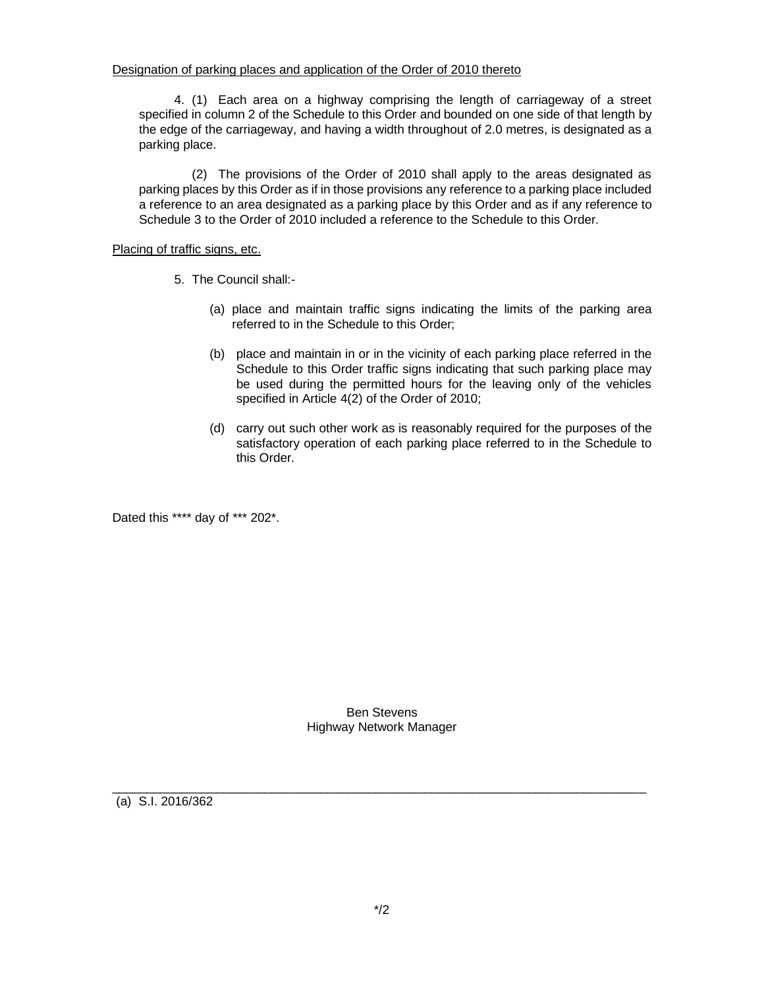4. (1) Each area on a highway comprising the length of carriageway of a street specified in column 2 of the Schedule to this Order and bounded on one side of that length by the edge of the carriageway, and having a width throughout of 2.0 metres, is designated as a parking place.

(2) The provisions of the Order of 2010 shall apply to the areas designated as parking places by this Order as if in those provisions any reference to a parking place included a reference to an area designated as a parking place by this Order and as if any reference to Schedule 3 to the Order of 2010 included a reference to the Schedule to this Order.

#### Placing of traffic signs, etc.

- 5. The Council shall:-
	- (a) place and maintain traffic signs indicating the limits of the parking area referred to in the Schedule to this Order;
	- (b) place and maintain in or in the vicinity of each parking place referred in the Schedule to this Order traffic signs indicating that such parking place may be used during the permitted hours for the leaving only of the vehicles specified in Article 4(2) of the Order of 2010;
	- (d) carry out such other work as is reasonably required for the purposes of the satisfactory operation of each parking place referred to in the Schedule to this Order.

Dated this \*\*\*\* day of \*\*\* 202\*.

Ben Stevens Highway Network Manager

\_\_\_\_\_\_\_\_\_\_\_\_\_\_\_\_\_\_\_\_\_\_\_\_\_\_\_\_\_\_\_\_\_\_\_\_\_\_\_\_\_\_\_\_\_\_\_\_\_\_\_\_\_\_\_\_\_\_\_\_\_\_\_\_\_\_\_\_\_\_\_\_\_\_\_\_\_

(a) S.I. 2016/362